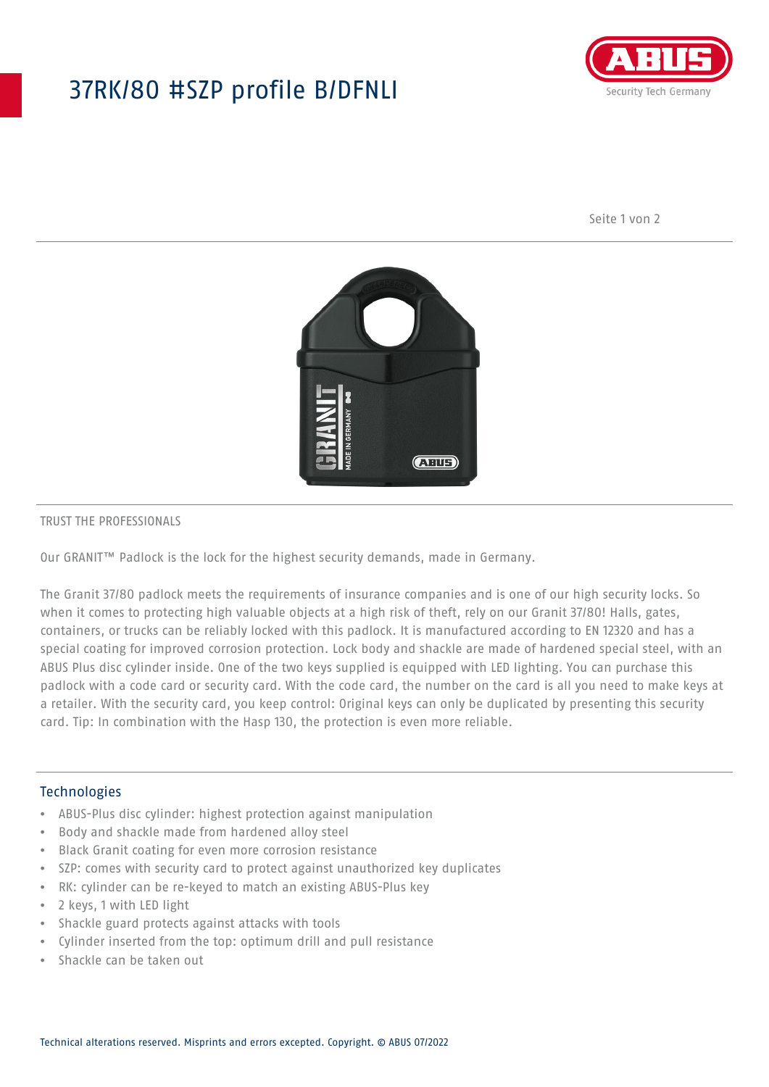## 37RK/80 #SZP profile B/DFNLI



Seite 1 von 2



### TRUST THE PROFESSIONALS

Our GRANIT™ Padlock is the lock for the highest security demands, made in Germany.

The Granit 37/80 padlock meets the requirements of insurance companies and is one of our high security locks. So when it comes to protecting high valuable objects at a high risk of theft, rely on our Granit 37/80! Halls, gates, containers, or trucks can be reliably locked with this padlock. It is manufactured according to EN 12320 and has a special coating for improved corrosion protection. Lock body and shackle are made of hardened special steel, with an ABUS Plus disc cylinder inside. One of the two keys supplied is equipped with LED lighting. You can purchase this padlock with a code card or security card. With the code card, the number on the card is all you need to make keys at a retailer. With the security card, you keep control: Original keys can only be duplicated by presenting this security card. Tip: In combination with the Hasp 130, the protection is even more reliable.

## Technologies

- ABUS-Plus disc cylinder: highest protection against manipulation
- Body and shackle made from hardened alloy steel
- Black Granit coating for even more corrosion resistance
- SZP: comes with security card to protect against unauthorized key duplicates
- RK: cylinder can be re-keyed to match an existing ABUS-Plus key
- 2 keys, 1 with LED light
- Shackle guard protects against attacks with tools
- Cylinder inserted from the top: optimum drill and pull resistance
- Shackle can be taken out